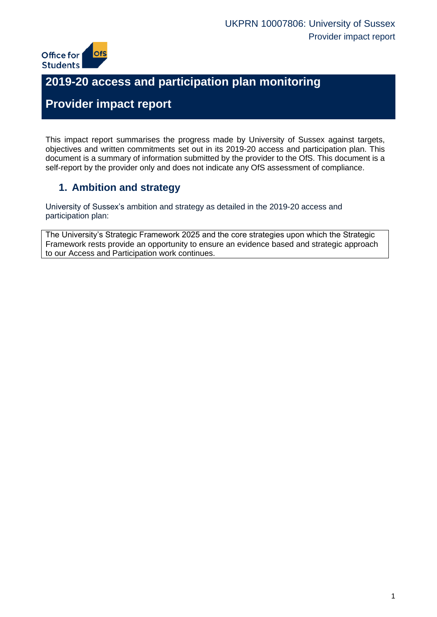

# **2019-20 access and participation plan monitoring**

# **Provider impact report**

This impact report summarises the progress made by University of Sussex against targets, objectives and written commitments set out in its 2019-20 access and participation plan. This document is a summary of information submitted by the provider to the OfS. This document is a self-report by the provider only and does not indicate any OfS assessment of compliance.

# **1. Ambition and strategy**

University of Sussex's ambition and strategy as detailed in the 2019-20 access and participation plan:

The University's Strategic Framework 2025 and the core strategies upon which the Strategic Framework rests provide an opportunity to ensure an evidence based and strategic approach to our Access and Participation work continues.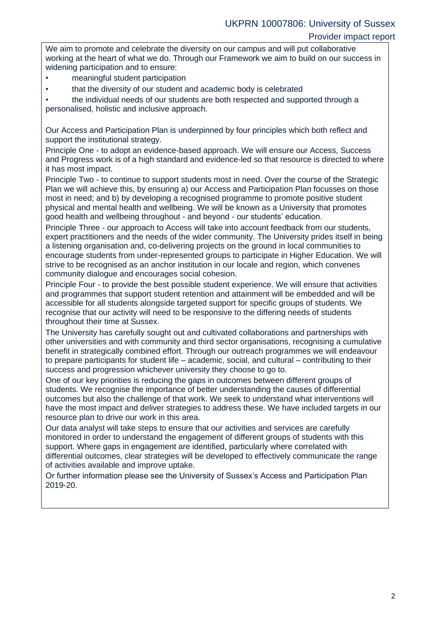We aim to promote and celebrate the diversity on our campus and will put collaborative working at the heart of what we do. Through our Framework we aim to build on our success in widening participation and to ensure:

- meaningful student participation
- that the diversity of our student and academic body is celebrated

• the individual needs of our students are both respected and supported through a personalised, holistic and inclusive approach.

Our Access and Participation Plan is underpinned by four principles which both reflect and support the institutional strategy.

Principle One - to adopt an evidence-based approach. We will ensure our Access, Success and Progress work is of a high standard and evidence-led so that resource is directed to where it has most impact.

Principle Two - to continue to support students most in need. Over the course of the Strategic Plan we will achieve this, by ensuring a) our Access and Participation Plan focusses on those most in need; and b) by developing a recognised programme to promote positive student physical and mental health and wellbeing. We will be known as a University that promotes good health and wellbeing throughout - and beyond - our students' education.

Principle Three - our approach to Access will take into account feedback from our students, expert practitioners and the needs of the wider community. The University prides itself in being a listening organisation and, co-delivering projects on the ground in local communities to encourage students from under-represented groups to participate in Higher Education. We will strive to be recognised as an anchor institution in our locale and region, which convenes community dialogue and encourages social cohesion.

Principle Four - to provide the best possible student experience. We will ensure that activities and programmes that support student retention and attainment will be embedded and will be accessible for all students alongside targeted support for specific groups of students. We recognise that our activity will need to be responsive to the differing needs of students throughout their time at Sussex.

The University has carefully sought out and cultivated collaborations and partnerships with other universities and with community and third sector organisations, recognising a cumulative benefit in strategically combined effort. Through our outreach programmes we will endeavour to prepare participants for student life – academic, social, and cultural – contributing to their success and progression whichever university they choose to go to.

One of our key priorities is reducing the gaps in outcomes between different groups of students. We recognise the importance of better understanding the causes of differential outcomes but also the challenge of that work. We seek to understand what interventions will have the most impact and deliver strategies to address these. We have included targets in our resource plan to drive our work in this area.

Our data analyst will take steps to ensure that our activities and services are carefully monitored in order to understand the engagement of different groups of students with this support. Where gaps in engagement are identified, particularly where correlated with differential outcomes, clear strategies will be developed to effectively communicate the range of activities available and improve uptake.

Or further information please see the University of Sussex's Access and Participation Plan 2019-20.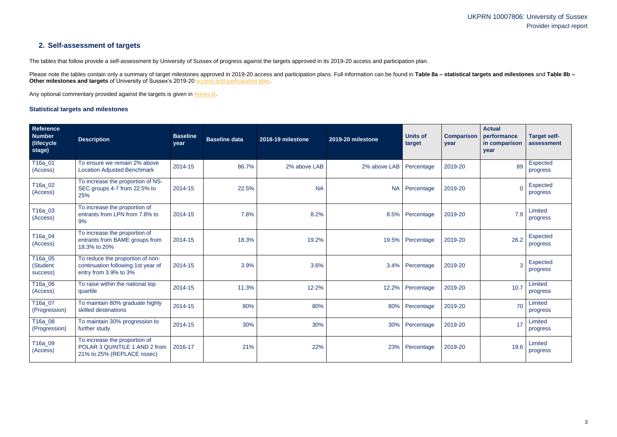# UKPRN 10007806: University of Sussex Provider impact report

# **2. Self-assessment of targets**

The tables that follow provide a self-assessment by University of Sussex of progress against the targets approved in its 2019-20 access and participation plan.

Please note the tables contain only a summary of target milestones approved in 2019-20 access and participation plans. Full information can be found in Table 8a - statistical targets and milestones and Table 8b -**Other milestones and targets** of University of Sussex's 2019-20 [access and participation plan.](https://www.officeforstudents.org.uk/advice-and-guidance/the-register/search-for-access-and-participation-plans/#/AccessPlans/)

Any optional commentary provided against the targets is given in [Annex B.](#page-12-0)

### <span id="page-2-0"></span>**Statistical targets and milestones**

| Reference<br><b>Number</b><br>(lifecycle<br>stage) | <b>Description</b>                                                                              | <b>Baseline</b><br>year | <b>Baseline data</b> | 2018-19 milestone | 2019-20 milestone | <b>Units of</b><br>target | <b>Comparison</b><br>year | <b>Actual</b><br>performance<br>in comparison<br>year | <b>Target self-</b><br>assessment |
|----------------------------------------------------|-------------------------------------------------------------------------------------------------|-------------------------|----------------------|-------------------|-------------------|---------------------------|---------------------------|-------------------------------------------------------|-----------------------------------|
| T16a_01<br>(Access)                                | To ensure we remain 2% above<br><b>Location Adjusted Benchmark</b>                              | 2014-15                 | 86.7%                | 2% above LAB      | 2% above LAB      | Percentage                | 2019-20                   | 89                                                    | Expected<br>progress              |
| T16a_02<br>(Access)                                | To increase the proportion of NS-<br>SEC groups 4-7 from 22.5% to<br>25%                        | 2014-15                 | 22.5%                | <b>NA</b>         | <b>NA</b>         | Percentage                | 2019-20                   | $\overline{0}$                                        | Expected<br>progress              |
| T16a_03<br>(Access)                                | To increase the proportion of<br>entrants from LPN from 7.8% to<br>9%                           | 2014-15                 | 7.8%                 | 8.2%              | 8.5%              | Percentage                | 2019-20                   | 7.9                                                   | Limited<br>progress               |
| T16a_04<br>(Access)                                | To increase the proportion of<br>entrants from BAME groups from<br>18.3% to 20%                 | 2014-15                 | 18.3%                | 19.2%             | 19.5%             | Percentage                | 2019-20                   | 26.2                                                  | Expected<br>progress              |
| T16a_05<br>(Student<br>success)                    | To reduce the proportion of non-<br>continuation following 1st year of<br>entry from 3.9% to 3% | 2014-15                 | 3.9%                 | 3.6%              | 3.4%              | Percentage                | 2019-20                   | $\overline{3}$                                        | <b>Expected</b><br>progress       |
| T16a_06<br>(Access)                                | To raise within the national top<br>quartile                                                    | 2014-15                 | 11.3%                | 12.2%             | 12.2%             | Percentage                | 2019-20                   | 10.7                                                  | Limited<br>progress               |
| T16a_07<br>(Progression)                           | To maintain 80% graduate highly<br>skilled destinations                                         | 2014-15                 | 80%                  | 80%               | 80%               | Percentage                | 2019-20                   | 70                                                    | Limited<br>progress               |
| T16a_08<br>(Progression)                           | To maintain 30% progression to<br>further study                                                 | 2014-15                 | 30%                  | 30%               | 30%               | Percentage                | 2019-20                   | 17                                                    | Limited<br>progress               |
| T16a_09<br>(Access)                                | To increase the proportion of<br>POLAR 3 QUINTILE 1 AND 2 from<br>21% to 25% (REPLACE nssec)    | 2016-17                 | 21%                  | 22%               | 23%               | Percentage                | 2019-20                   | 19.6                                                  | Limited<br>progress               |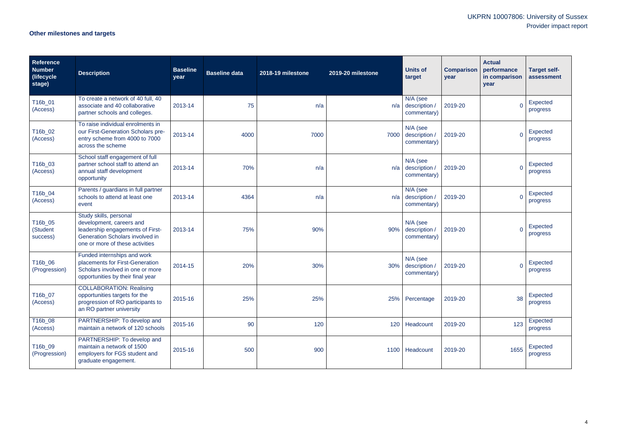# UKPRN 10007806: University of Sussex Provider impact report

# **Other milestones and targets**

| Reference<br><b>Number</b><br>(lifecycle<br>stage) | <b>Description</b>                                                                                                                                           | <b>Baseline</b><br>year | <b>Baseline data</b> | 2018-19 milestone | 2019-20 milestone | <b>Units of</b><br>target                | <b>Comparison</b><br>year | <b>Actual</b><br>performance<br>in comparison<br>year | <b>Target self-</b><br>assessment |
|----------------------------------------------------|--------------------------------------------------------------------------------------------------------------------------------------------------------------|-------------------------|----------------------|-------------------|-------------------|------------------------------------------|---------------------------|-------------------------------------------------------|-----------------------------------|
| T16b_01<br>(Access)                                | To create a network of 40 full, 40<br>associate and 40 collaborative<br>partner schools and colleges.                                                        | 2013-14                 | 75                   | n/a               | n/a               | N/A (see<br>description<br>commentary)   | 2019-20                   |                                                       | <b>Expected</b><br>progress       |
| T16b_02<br>(Access)                                | To raise individual enrolments in<br>our First-Generation Scholars pre-<br>entry scheme from 4000 to 7000<br>across the scheme                               | 2013-14                 | 4000                 | 7000              | 7000              | N/A (see<br>description /<br>commentary) | 2019-20                   | $\overline{0}$                                        | Expected<br>progress              |
| T16b_03<br>(Access)                                | School staff engagement of full<br>partner school staff to attend an<br>annual staff development<br>opportunity                                              | 2013-14                 | 70%                  | n/a               | n/a               | N/A (see<br>description /<br>commentary) | 2019-20                   | $\Omega$                                              | Expected<br>progress              |
| T16b_04<br>(Access)                                | Parents / guardians in full partner<br>schools to attend at least one<br>event                                                                               | 2013-14                 | 4364                 | n/a               | n/a               | N/A (see<br>description /<br>commentary) | 2019-20                   | $\Omega$                                              | Expected<br>progress              |
| T16b_05<br>(Student<br>success)                    | Study skills, personal<br>development, careers and<br>leadership engagements of First-<br>Generation Scholars involved in<br>one or more of these activities | 2013-14                 | 75%                  | 90%               | 90%               | N/A (see<br>description<br>commentary)   | 2019-20                   |                                                       | Expected<br>progress              |
| T16b_06<br>(Progression)                           | Funded internships and work<br>placements for First-Generation<br>Scholars involved in one or more<br>opportunities by their final year                      | 2014-15                 | 20%                  | 30%               | 30%               | N/A (see<br>description<br>commentary)   | 2019-20                   | $\mathbf{0}$                                          | Expected<br>progress              |
| T16b_07<br>(Access)                                | <b>COLLABORATION: Realising</b><br>opportunities targets for the<br>progression of RO participants to<br>an RO partner university                            | 2015-16                 | 25%                  | 25%               |                   | 25% Percentage                           | 2019-20                   | 38                                                    | <b>Expected</b><br>progress       |
| T16b_08<br>(Access)                                | PARTNERSHIP: To develop and<br>maintain a network of 120 schools                                                                                             | 2015-16                 | 90                   | 120               |                   | 120 Headcount                            | 2019-20                   | 123                                                   | Expected<br>progress              |
| T16b_09<br>(Progression)                           | PARTNERSHIP: To develop and<br>maintain a network of 1500<br>employers for FGS student and<br>graduate engagement.                                           | 2015-16                 | 500                  | 900               |                   | 1100 Headcount                           | 2019-20                   | 1655                                                  | Expected<br>progress              |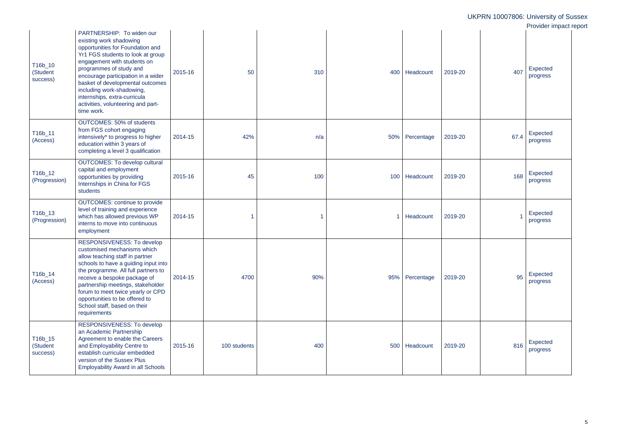|                                 |                                                                                                                                                                                                                                                                                                                                                                                    |         |              |     |                 |         |      | UKPRN 10007806: University of Sussex<br>Provider impact report |
|---------------------------------|------------------------------------------------------------------------------------------------------------------------------------------------------------------------------------------------------------------------------------------------------------------------------------------------------------------------------------------------------------------------------------|---------|--------------|-----|-----------------|---------|------|----------------------------------------------------------------|
| T16b_10<br>(Student<br>success) | PARTNERSHIP: To widen our<br>existing work shadowing<br>opportunities for Foundation and<br>Yr1 FGS students to look at group<br>engagement with students on<br>programmes of study and<br>encourage participation in a wider<br>basket of developmental outcomes<br>including work-shadowing,<br>internships, extra-curricula<br>activities, volunteering and part-<br>time work. | 2015-16 | 50           | 310 | 400   Headcount | 2019-20 | 407  | Expected<br>progress                                           |
| T16b_11<br>(Access)             | OUTCOMES: 50% of students<br>from FGS cohort engaging<br>intensively* to progress to higher<br>education within 3 years of<br>completing a level 3 qualification                                                                                                                                                                                                                   | 2014-15 | 42%          | n/a | 50% Percentage  | 2019-20 | 67.4 | Expected<br>progress                                           |
| T16b_12<br>(Progression)        | <b>OUTCOMES: To develop cultural</b><br>capital and employment<br>opportunities by providing<br>Internships in China for FGS<br>students                                                                                                                                                                                                                                           | 2015-16 | 45           | 100 | 100 Headcount   | 2019-20 | 168  | Expected<br>progress                                           |
| T16b_13<br>(Progression)        | <b>OUTCOMES: continue to provide</b><br>level of training and experience<br>which has allowed previous WP<br>interns to move into continuous<br>employment                                                                                                                                                                                                                         | 2014-15 |              |     | Headcount       | 2019-20 |      | Expected<br>progress                                           |
| T16b_14<br>(Access)             | RESPONSIVENESS: To develop<br>customised mechanisms which<br>allow teaching staff in partner<br>schools to have a guiding input into<br>the programme. All full partners to<br>receive a bespoke package of<br>partnership meetings, stakeholder<br>forum to meet twice yearly or CPD<br>opportunities to be offered to<br>School staff, based on their<br>requirements            | 2014-15 | 4700         | 90% | 95% Percentage  | 2019-20 | 95   | Expected<br>progress                                           |
| T16b_15<br>(Student<br>success) | RESPONSIVENESS: To develop<br>an Academic Partnership<br>Agreement to enable the Careers<br>and Employability Centre to<br>establish curricular embedded<br>version of the Sussex Plus<br><b>Employability Award in all Schools</b>                                                                                                                                                | 2015-16 | 100 students | 400 | 500 Headcount   | 2019-20 | 816  | Expected<br>progress                                           |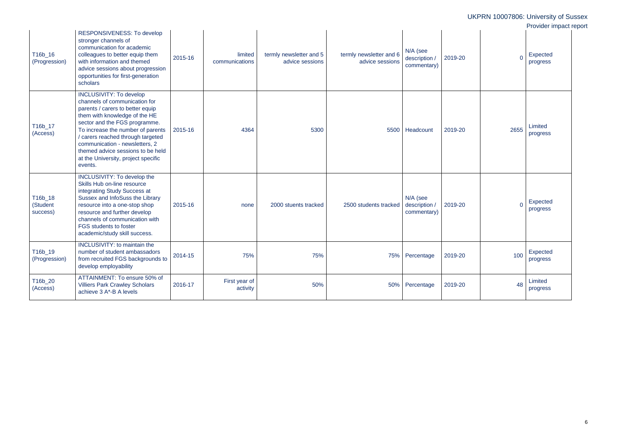|                                 |                                                                                                                                                                                                                                                                                                                                                                          |         |                           |                                            |                                            |                                                     |                | UKPRN 10007806: University of Sussex<br>Provider impact report |  |
|---------------------------------|--------------------------------------------------------------------------------------------------------------------------------------------------------------------------------------------------------------------------------------------------------------------------------------------------------------------------------------------------------------------------|---------|---------------------------|--------------------------------------------|--------------------------------------------|-----------------------------------------------------|----------------|----------------------------------------------------------------|--|
| T16b_16<br>(Progression)        | RESPONSIVENESS: To develop<br>stronger channels of<br>communication for academic<br>colleagues to better equip them<br>with information and themed<br>advice sessions about progression<br>opportunities for first-generation<br>scholars                                                                                                                                | 2015-16 | limited<br>communications | termly newsletter and 5<br>advice sessions | termly newsletter and 6<br>advice sessions | N/A (see<br>2019-20<br>description /<br>commentary) | $\overline{0}$ | <b>Expected</b><br>progress                                    |  |
| T16b_17<br>(Access)             | <b>INCLUSIVITY: To develop</b><br>channels of communication for<br>parents / carers to better equip<br>them with knowledge of the HE<br>sector and the FGS programme.<br>To increase the number of parents<br>/ carers reached through targeted<br>communication - newsletters, 2<br>themed advice sessions to be held<br>at the University, project specific<br>events. | 2015-16 | 4364                      | 5300                                       |                                            | 5500 Headcount<br>2019-20                           | 2655           | Limited<br>progress                                            |  |
| T16b_18<br>(Student<br>success) | INCLUSIVITY: To develop the<br>Skills Hub on-line resource<br>integrating Study Success at<br>Sussex and InfoSuss the Library<br>resource into a one-stop shop<br>resource and further develop<br>channels of communication with<br><b>FGS students to foster</b><br>academic/study skill success.                                                                       | 2015-16 | none                      | 2000 stuents tracked                       | 2500 students tracked                      | N/A (see<br>2019-20<br>description /<br>commentary) | $\Omega$       | Expected<br>progress                                           |  |
| T16b_19<br>(Progression)        | INCLUSIVITY: to maintain the<br>number of student ambassadors<br>from recruited FGS backgrounds to<br>develop employability                                                                                                                                                                                                                                              | 2014-15 | 75%                       | 75%                                        |                                            | 75% Percentage<br>2019-20                           | 100            | <b>Expected</b><br>progress                                    |  |
| T16b_20<br>(Access)             | ATTAINMENT: To ensure 50% of<br><b>Villiers Park Crawley Scholars</b><br>achieve 3 A*-B A levels                                                                                                                                                                                                                                                                         | 2016-17 | First year of<br>activity | 50%                                        |                                            | 50% Percentage<br>2019-20                           | 48             | Limited<br>progress                                            |  |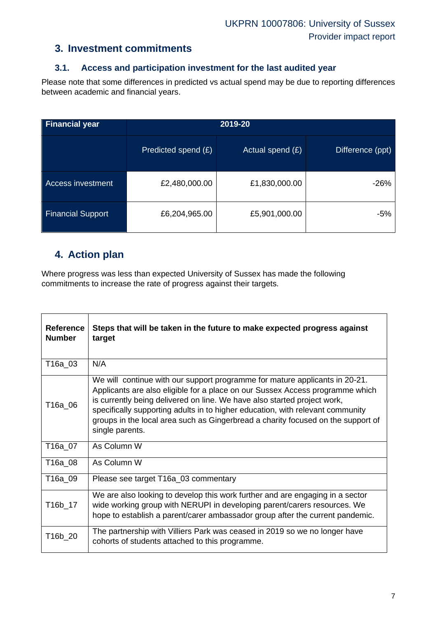### **3. Investment commitments**

### **3.1. Access and participation investment for the last audited year**

Please note that some differences in predicted vs actual spend may be due to reporting differences between academic and financial years.

| Financial year           | 2019-20             |                    |                  |  |  |  |
|--------------------------|---------------------|--------------------|------------------|--|--|--|
|                          | Predicted spend (£) | Actual spend $(E)$ | Difference (ppt) |  |  |  |
| <b>Access investment</b> | £2,480,000.00       | £1,830,000.00      | $-26%$           |  |  |  |
| <b>Financial Support</b> | £6,204,965.00       | £5,901,000.00      | -5%              |  |  |  |

### **4. Action plan**

Where progress was less than expected University of Sussex has made the following commitments to increase the rate of progress against their targets.

| <b>Reference</b><br><b>Number</b> | Steps that will be taken in the future to make expected progress against<br>target                                                                                                                                                                                                                                                                                                                                                |
|-----------------------------------|-----------------------------------------------------------------------------------------------------------------------------------------------------------------------------------------------------------------------------------------------------------------------------------------------------------------------------------------------------------------------------------------------------------------------------------|
| T16a_03                           | N/A                                                                                                                                                                                                                                                                                                                                                                                                                               |
| T16a_06                           | We will continue with our support programme for mature applicants in 20-21.<br>Applicants are also eligible for a place on our Sussex Access programme which<br>is currently being delivered on line. We have also started project work,<br>specifically supporting adults in to higher education, with relevant community<br>groups in the local area such as Gingerbread a charity focused on the support of<br>single parents. |
| T16a 07                           | As Column W                                                                                                                                                                                                                                                                                                                                                                                                                       |
| T16a 08                           | As Column W                                                                                                                                                                                                                                                                                                                                                                                                                       |
| T16a 09                           | Please see target T16a_03 commentary                                                                                                                                                                                                                                                                                                                                                                                              |
| T16b_17                           | We are also looking to develop this work further and are engaging in a sector<br>wide working group with NERUPI in developing parent/carers resources. We<br>hope to establish a parent/carer ambassador group after the current pandemic.                                                                                                                                                                                        |
| T16b_20                           | The partnership with Villiers Park was ceased in 2019 so we no longer have<br>cohorts of students attached to this programme.                                                                                                                                                                                                                                                                                                     |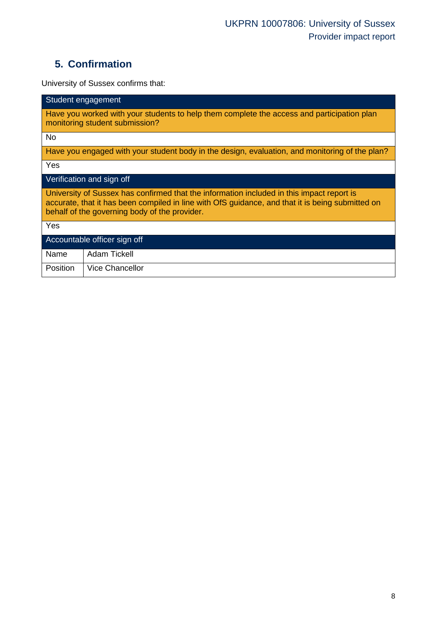# **5. Confirmation**

University of Sussex confirms that:

| Student engagement                                                                                                                                                                                                                             |  |  |  |  |  |  |  |
|------------------------------------------------------------------------------------------------------------------------------------------------------------------------------------------------------------------------------------------------|--|--|--|--|--|--|--|
| Have you worked with your students to help them complete the access and participation plan<br>monitoring student submission?                                                                                                                   |  |  |  |  |  |  |  |
| <b>No</b>                                                                                                                                                                                                                                      |  |  |  |  |  |  |  |
| Have you engaged with your student body in the design, evaluation, and monitoring of the plan?                                                                                                                                                 |  |  |  |  |  |  |  |
| Yes                                                                                                                                                                                                                                            |  |  |  |  |  |  |  |
| Verification and sign off                                                                                                                                                                                                                      |  |  |  |  |  |  |  |
| University of Sussex has confirmed that the information included in this impact report is<br>accurate, that it has been compiled in line with OfS guidance, and that it is being submitted on<br>behalf of the governing body of the provider. |  |  |  |  |  |  |  |
| Yes                                                                                                                                                                                                                                            |  |  |  |  |  |  |  |
| Accountable officer sign off                                                                                                                                                                                                                   |  |  |  |  |  |  |  |
| Adam Tickell<br>Name                                                                                                                                                                                                                           |  |  |  |  |  |  |  |
| <b>Vice Chancellor</b><br><b>Position</b>                                                                                                                                                                                                      |  |  |  |  |  |  |  |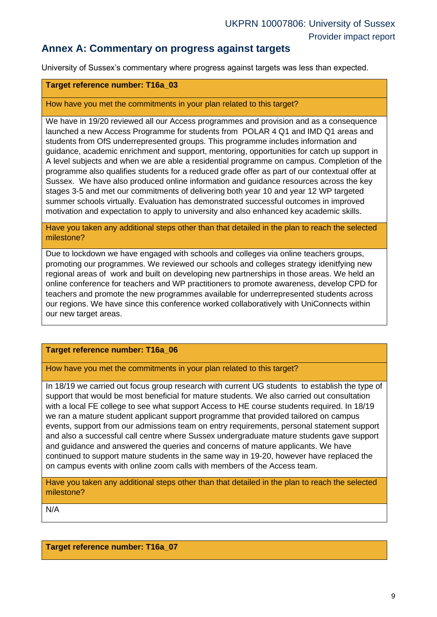### **Annex A: Commentary on progress against targets**

University of Sussex's commentary where progress against targets was less than expected.

#### **Target reference number: T16a\_03**

#### How have you met the commitments in your plan related to this target?

We have in 19/20 reviewed all our Access programmes and provision and as a consequence launched a new Access Programme for students from POLAR 4 Q1 and IMD Q1 areas and students from OfS underrepresented groups. This programme includes information and guidance, academic enrichment and support, mentoring, opportunities for catch up support in A level subjects and when we are able a residential programme on campus. Completion of the programme also qualifies students for a reduced grade offer as part of our contextual offer at Sussex. We have also produced online information and guidance resources across the key stages 3-5 and met our commitments of delivering both year 10 and year 12 WP targeted summer schools virtually. Evaluation has demonstrated successful outcomes in improved motivation and expectation to apply to university and also enhanced key academic skills.

Have you taken any additional steps other than that detailed in the plan to reach the selected milestone?

Due to lockdown we have engaged with schools and colleges via online teachers groups, promoting our programmes. We reviewed our schools and colleges strategy idenitfying new regional areas of work and built on developing new partnerships in those areas. We held an online conference for teachers and WP practitioners to promote awareness, develop CPD for teachers and promote the new programmes available for underrepresented students across our regions. We have since this conference worked collaboratively with UniConnects within our new target areas.

#### **Target reference number: T16a\_06**

How have you met the commitments in your plan related to this target?

In 18/19 we carried out focus group research with current UG students to establish the type of support that would be most beneficial for mature students. We also carried out consultation with a local FE college to see what support Access to HE course students required. In 18/19 we ran a mature student applicant support programme that provided tailored on campus events, support from our admissions team on entry requirements, personal statement support and also a successful call centre where Sussex undergraduate mature students gave support and guidance and answered the queries and concerns of mature applicants. We have continued to support mature students in the same way in 19-20, however have replaced the on campus events with online zoom calls with members of the Access team.

Have you taken any additional steps other than that detailed in the plan to reach the selected milestone?

N/A

**Target reference number: T16a\_07**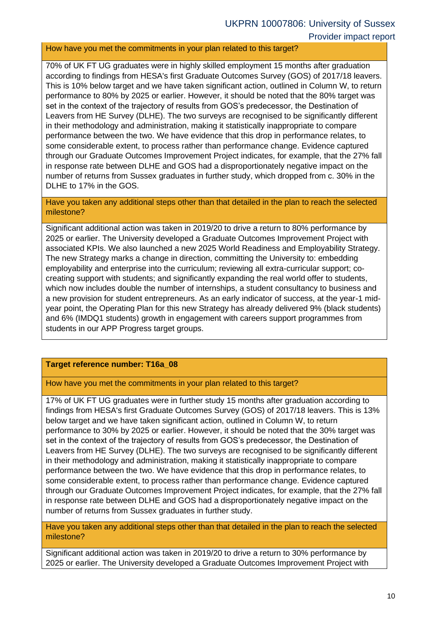#### How have you met the commitments in your plan related to this target?

70% of UK FT UG graduates were in highly skilled employment 15 months after graduation according to findings from HESA's first Graduate Outcomes Survey (GOS) of 2017/18 leavers. This is 10% below target and we have taken significant action, outlined in Column W, to return performance to 80% by 2025 or earlier. However, it should be noted that the 80% target was set in the context of the trajectory of results from GOS's predecessor, the Destination of Leavers from HE Survey (DLHE). The two surveys are recognised to be significantly different in their methodology and administration, making it statistically inappropriate to compare performance between the two. We have evidence that this drop in performance relates, to some considerable extent, to process rather than performance change. Evidence captured through our Graduate Outcomes Improvement Project indicates, for example, that the 27% fall in response rate between DLHE and GOS had a disproportionately negative impact on the number of returns from Sussex graduates in further study, which dropped from c. 30% in the DLHE to 17% in the GOS.

Have you taken any additional steps other than that detailed in the plan to reach the selected milestone?

Significant additional action was taken in 2019/20 to drive a return to 80% performance by 2025 or earlier. The University developed a Graduate Outcomes Improvement Project with associated KPIs. We also launched a new 2025 World Readiness and Employability Strategy. The new Strategy marks a change in direction, committing the University to: embedding employability and enterprise into the curriculum; reviewing all extra-curricular support; cocreating support with students; and significantly expanding the real world offer to students, which now includes double the number of internships, a student consultancy to business and a new provision for student entrepreneurs. As an early indicator of success, at the year-1 midyear point, the Operating Plan for this new Strategy has already delivered 9% (black students) and 6% (IMDQ1 students) growth in engagement with careers support programmes from students in our APP Progress target groups.

#### **Target reference number: T16a\_08**

How have you met the commitments in your plan related to this target?

17% of UK FT UG graduates were in further study 15 months after graduation according to findings from HESA's first Graduate Outcomes Survey (GOS) of 2017/18 leavers. This is 13% below target and we have taken significant action, outlined in Column W, to return performance to 30% by 2025 or earlier. However, it should be noted that the 30% target was set in the context of the trajectory of results from GOS's predecessor, the Destination of Leavers from HE Survey (DLHE). The two surveys are recognised to be significantly different in their methodology and administration, making it statistically inappropriate to compare performance between the two. We have evidence that this drop in performance relates, to some considerable extent, to process rather than performance change. Evidence captured through our Graduate Outcomes Improvement Project indicates, for example, that the 27% fall in response rate between DLHE and GOS had a disproportionately negative impact on the number of returns from Sussex graduates in further study.

Have you taken any additional steps other than that detailed in the plan to reach the selected milestone?

Significant additional action was taken in 2019/20 to drive a return to 30% performance by 2025 or earlier. The University developed a Graduate Outcomes Improvement Project with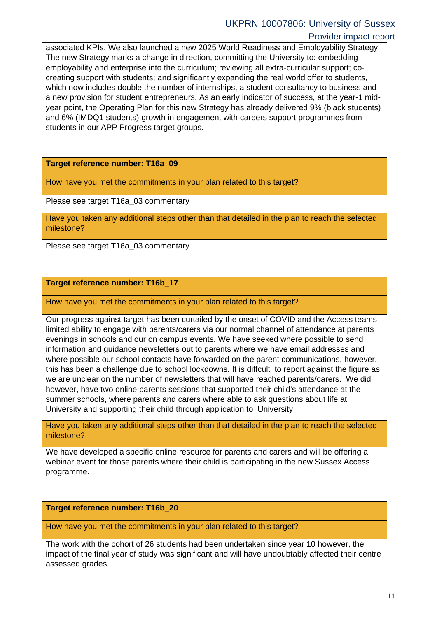### UKPRN 10007806: University of Sussex

#### Provider impact report

associated KPIs. We also launched a new 2025 World Readiness and Employability Strategy. The new Strategy marks a change in direction, committing the University to: embedding employability and enterprise into the curriculum; reviewing all extra-curricular support; cocreating support with students; and significantly expanding the real world offer to students, which now includes double the number of internships, a student consultancy to business and a new provision for student entrepreneurs. As an early indicator of success, at the year-1 midyear point, the Operating Plan for this new Strategy has already delivered 9% (black students) and 6% (IMDQ1 students) growth in engagement with careers support programmes from students in our APP Progress target groups.

**Target reference number: T16a\_09**

How have you met the commitments in your plan related to this target?

Please see target T16a\_03 commentary

Have you taken any additional steps other than that detailed in the plan to reach the selected milestone?

Please see target T16a\_03 commentary

#### **Target reference number: T16b\_17**

How have you met the commitments in your plan related to this target?

Our progress against target has been curtailed by the onset of COVID and the Access teams limited ability to engage with parents/carers via our normal channel of attendance at parents evenings in schools and our on campus events. We have seeked where possible to send information and guidance newsletters out to parents where we have email addresses and where possible our school contacts have forwarded on the parent communications, however, this has been a challenge due to school lockdowns. It is diffcult to report against the figure as we are unclear on the number of newsletters that will have reached parents/carers. We did however, have two online parents sessions that supported their child's attendance at the summer schools, where parents and carers where able to ask questions about life at University and supporting their child through application to University.

Have you taken any additional steps other than that detailed in the plan to reach the selected milestone?

We have developed a specific online resource for parents and carers and will be offering a webinar event for those parents where their child is participating in the new Sussex Access programme.

#### **Target reference number: T16b\_20**

How have you met the commitments in your plan related to this target?

The work with the cohort of 26 students had been undertaken since year 10 however, the impact of the final year of study was significant and will have undoubtably affected their centre assessed grades.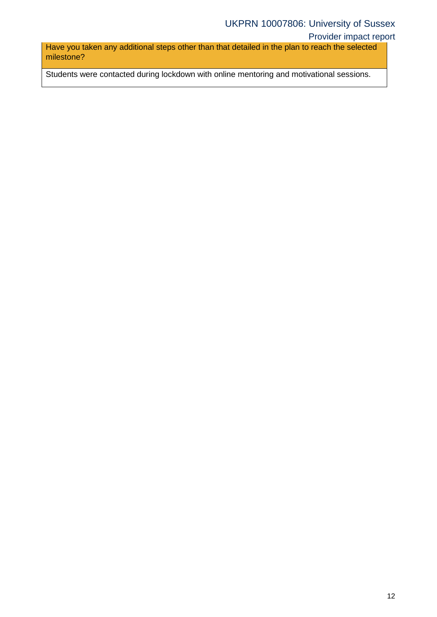### UKPRN 10007806: University of Sussex

#### Provider impact report

Have you taken any additional steps other than that detailed in the plan to reach the selected milestone?

Students were contacted during lockdown with online mentoring and motivational sessions.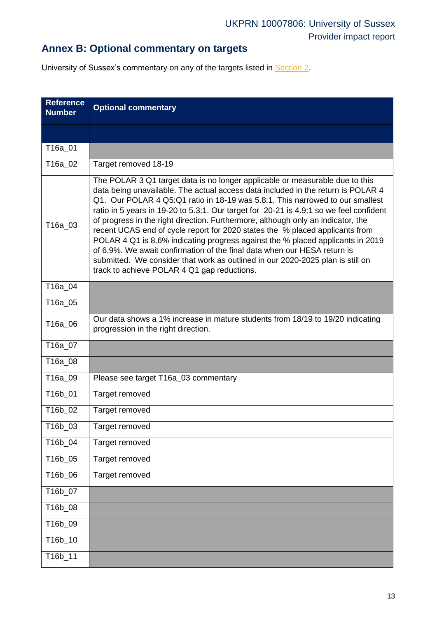# **Annex B: Optional commentary on targets**

University of Sussex's commentary on any of the targets listed in [Section 2.](#page-2-0)

<span id="page-12-0"></span>

| <b>Reference</b><br><b>Number</b> | <b>Optional commentary</b>                                                                                                                                                                                                                                                                                                                                                                                                                                                                                                                                                                                                                                                                                                                                                                                     |
|-----------------------------------|----------------------------------------------------------------------------------------------------------------------------------------------------------------------------------------------------------------------------------------------------------------------------------------------------------------------------------------------------------------------------------------------------------------------------------------------------------------------------------------------------------------------------------------------------------------------------------------------------------------------------------------------------------------------------------------------------------------------------------------------------------------------------------------------------------------|
|                                   |                                                                                                                                                                                                                                                                                                                                                                                                                                                                                                                                                                                                                                                                                                                                                                                                                |
| T16a_01                           |                                                                                                                                                                                                                                                                                                                                                                                                                                                                                                                                                                                                                                                                                                                                                                                                                |
| T16a_02                           | Target removed 18-19                                                                                                                                                                                                                                                                                                                                                                                                                                                                                                                                                                                                                                                                                                                                                                                           |
| T16a_03                           | The POLAR 3 Q1 target data is no longer applicable or measurable due to this<br>data being unavailable. The actual access data included in the return is POLAR 4<br>Q1. Our POLAR 4 Q5:Q1 ratio in 18-19 was 5.8:1. This narrowed to our smallest<br>ratio in 5 years in 19-20 to 5.3:1. Our target for 20-21 is 4.9:1 so we feel confident<br>of progress in the right direction. Furthermore, although only an indicator, the<br>recent UCAS end of cycle report for 2020 states the % placed applicants from<br>POLAR 4 Q1 is 8.6% indicating progress against the % placed applicants in 2019<br>of 6.9%. We await confirmation of the final data when our HESA return is<br>submitted. We consider that work as outlined in our 2020-2025 plan is still on<br>track to achieve POLAR 4 Q1 gap reductions. |
| T16a_04                           |                                                                                                                                                                                                                                                                                                                                                                                                                                                                                                                                                                                                                                                                                                                                                                                                                |
| T16a_05                           |                                                                                                                                                                                                                                                                                                                                                                                                                                                                                                                                                                                                                                                                                                                                                                                                                |
| T16a_06                           | Our data shows a 1% increase in mature students from 18/19 to 19/20 indicating<br>progression in the right direction.                                                                                                                                                                                                                                                                                                                                                                                                                                                                                                                                                                                                                                                                                          |
| T16a_07                           |                                                                                                                                                                                                                                                                                                                                                                                                                                                                                                                                                                                                                                                                                                                                                                                                                |
| T16a_08                           |                                                                                                                                                                                                                                                                                                                                                                                                                                                                                                                                                                                                                                                                                                                                                                                                                |
| T16a_09                           | Please see target T16a_03 commentary                                                                                                                                                                                                                                                                                                                                                                                                                                                                                                                                                                                                                                                                                                                                                                           |
| T16b 01                           | Target removed                                                                                                                                                                                                                                                                                                                                                                                                                                                                                                                                                                                                                                                                                                                                                                                                 |
| T16b_02                           | Target removed                                                                                                                                                                                                                                                                                                                                                                                                                                                                                                                                                                                                                                                                                                                                                                                                 |
| T16b_03                           | Target removed                                                                                                                                                                                                                                                                                                                                                                                                                                                                                                                                                                                                                                                                                                                                                                                                 |
| T16b_04                           | Target removed                                                                                                                                                                                                                                                                                                                                                                                                                                                                                                                                                                                                                                                                                                                                                                                                 |
| T16b_05                           | Target removed                                                                                                                                                                                                                                                                                                                                                                                                                                                                                                                                                                                                                                                                                                                                                                                                 |
| T16b_06                           | Target removed                                                                                                                                                                                                                                                                                                                                                                                                                                                                                                                                                                                                                                                                                                                                                                                                 |
| T16b_07                           |                                                                                                                                                                                                                                                                                                                                                                                                                                                                                                                                                                                                                                                                                                                                                                                                                |
| T16b_08                           |                                                                                                                                                                                                                                                                                                                                                                                                                                                                                                                                                                                                                                                                                                                                                                                                                |
| T16b_09                           |                                                                                                                                                                                                                                                                                                                                                                                                                                                                                                                                                                                                                                                                                                                                                                                                                |
| T16b_10                           |                                                                                                                                                                                                                                                                                                                                                                                                                                                                                                                                                                                                                                                                                                                                                                                                                |
| T16b_11                           |                                                                                                                                                                                                                                                                                                                                                                                                                                                                                                                                                                                                                                                                                                                                                                                                                |